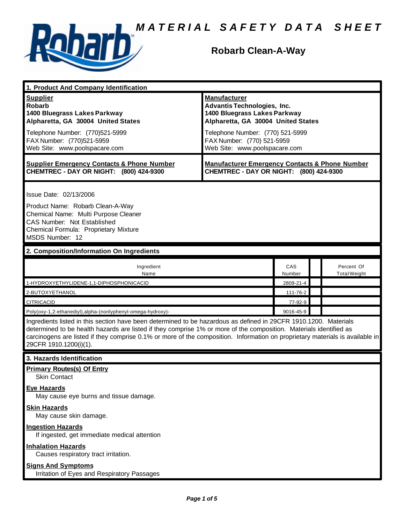

### **Robarb Clean-A-Way**

| 1. Product And Company Identification                                                                                                                                                                                                                                                                                                                                                             |                                                                                                                                                                                                                                    |                      |  |                                   |  |
|---------------------------------------------------------------------------------------------------------------------------------------------------------------------------------------------------------------------------------------------------------------------------------------------------------------------------------------------------------------------------------------------------|------------------------------------------------------------------------------------------------------------------------------------------------------------------------------------------------------------------------------------|----------------------|--|-----------------------------------|--|
| <b>Supplier</b><br><b>Robarb</b><br>1400 Bluegrass Lakes Parkway<br>Alpharetta, GA 30004 United States<br>Telephone Number: (770)521-5999<br>FAX Number: (770)521-5959<br>Web Site: www.poolspacare.com                                                                                                                                                                                           | <b>Manufacturer</b><br><b>Advantis Technologies, Inc.</b><br>1400 Bluegrass Lakes Parkway<br>Alpharetta, GA 30004 United States<br>Telephone Number: (770) 521-5999<br>FAX Number: (770) 521-5959<br>Web Site: www.poolspacare.com |                      |  |                                   |  |
| <b>Supplier Emergency Contacts &amp; Phone Number</b><br>CHEMTREC - DAY OR NIGHT: (800) 424-9300                                                                                                                                                                                                                                                                                                  | <b>Manufacturer Emergency Contacts &amp; Phone Number</b><br>CHEMTREC - DAY OR NIGHT: (800) 424-9300                                                                                                                               |                      |  |                                   |  |
| Issue Date: 02/13/2006<br>Product Name: Robarb Clean-A-Way<br>Chemical Name: Multi Purpose Cleaner<br>CAS Number: Not Established<br>Chemical Formula: Proprietary Mixture<br>MSDS Number: 12                                                                                                                                                                                                     |                                                                                                                                                                                                                                    |                      |  |                                   |  |
| 2. Composition/Information On Ingredients                                                                                                                                                                                                                                                                                                                                                         |                                                                                                                                                                                                                                    |                      |  |                                   |  |
| Ingredient<br>Name                                                                                                                                                                                                                                                                                                                                                                                |                                                                                                                                                                                                                                    | <b>CAS</b><br>Number |  | Percent Of<br><b>Total Weight</b> |  |
| 1-HYDROXYETHYLIDENE-1,1-DIPHOSPHONICACID                                                                                                                                                                                                                                                                                                                                                          |                                                                                                                                                                                                                                    | 2809-21-4            |  |                                   |  |
| 2-BUTOXYETHANOL                                                                                                                                                                                                                                                                                                                                                                                   |                                                                                                                                                                                                                                    | 111-76-2             |  |                                   |  |
| <b>CITRICACID</b>                                                                                                                                                                                                                                                                                                                                                                                 |                                                                                                                                                                                                                                    | 77-92-9              |  |                                   |  |
| Poly(oxy-1,2-ethanediyl),alpha-(nonlyphenyl-omega-hydroxy)-                                                                                                                                                                                                                                                                                                                                       |                                                                                                                                                                                                                                    | 9016-45-9            |  |                                   |  |
| Ingredients listed in this section have been determined to be hazardous as defined in 29CFR 1910.1200. Materials<br>determined to be health hazards are listed if they comprise 1% or more of the composition. Materials identified as<br>carcinogens are listed if they comprise 0.1% or more of the composition. Information on proprietary materials is available in<br>29CFR 1910.1200(i)(1). |                                                                                                                                                                                                                                    |                      |  |                                   |  |
| 3. Hazards Identification                                                                                                                                                                                                                                                                                                                                                                         |                                                                                                                                                                                                                                    |                      |  |                                   |  |
| <b>Primary Routes(s) Of Entry</b><br>Skin Contact                                                                                                                                                                                                                                                                                                                                                 |                                                                                                                                                                                                                                    |                      |  |                                   |  |
| <b>Eye Hazards</b><br>May cause eye burns and tissue damage.                                                                                                                                                                                                                                                                                                                                      |                                                                                                                                                                                                                                    |                      |  |                                   |  |
| <b>Skin Hazards</b><br>May cause skin damage.                                                                                                                                                                                                                                                                                                                                                     |                                                                                                                                                                                                                                    |                      |  |                                   |  |
| <b>Ingestion Hazards</b><br>If ingested, get immediate medical attention                                                                                                                                                                                                                                                                                                                          |                                                                                                                                                                                                                                    |                      |  |                                   |  |
| <b>Inhalation Hazards</b><br>Causes respiratory tract irritation.                                                                                                                                                                                                                                                                                                                                 |                                                                                                                                                                                                                                    |                      |  |                                   |  |
| <b>Signs And Symptoms</b>                                                                                                                                                                                                                                                                                                                                                                         |                                                                                                                                                                                                                                    |                      |  |                                   |  |

Irritation of Eyes and Respiratory Passages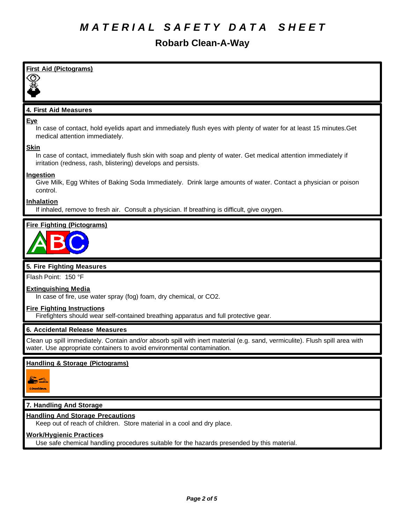# **Robarb Clean-A-Way**

| <b>First Aid (Pictograms)</b>                                                                                                                                                                          |
|--------------------------------------------------------------------------------------------------------------------------------------------------------------------------------------------------------|
| ⊙                                                                                                                                                                                                      |
|                                                                                                                                                                                                        |
| 4. First Aid Measures                                                                                                                                                                                  |
| <b>Eye</b><br>In case of contact, hold eyelids apart and immediately flush eyes with plenty of water for at least 15 minutes. Get<br>medical attention immediately.                                    |
| <b>Skin</b><br>In case of contact, immediately flush skin with soap and plenty of water. Get medical attention immediately if<br>irritation (redness, rash, blistering) develops and persists.         |
| Ingestion<br>Give Milk, Egg Whites of Baking Soda Immediately. Drink large amounts of water. Contact a physician or poison<br>control.                                                                 |
| <b>Inhalation</b><br>If inhaled, remove to fresh air. Consult a physician. If breathing is difficult, give oxygen.                                                                                     |
| <b>Fire Fighting (Pictograms)</b>                                                                                                                                                                      |
|                                                                                                                                                                                                        |
| 5. Fire Fighting Measures                                                                                                                                                                              |
| Flash Point: 150 °F                                                                                                                                                                                    |
| <b>Extinguishing Media</b><br>In case of fire, use water spray (fog) foam, dry chemical, or CO2.                                                                                                       |
| <b>Fire Fighting Instructions</b><br>Firefighters should wear self-contained breathing apparatus and full protective gear.                                                                             |
| 6. Accidental Release Measures                                                                                                                                                                         |
| Clean up spill immediately. Contain and/or absorb spill with inert material (e.g. sand, vermiculite). Flush spill area with<br>water. Use appropriate containers to avoid environmental contamination. |

### **Handling & Storage (Pictograms)**



### **7. Handling And Storage**

### **Handling And Storage Precautions**

Keep out of reach of children. Store material in a cool and dry place.

### **Work/Hygienic Practices**

Use safe chemical handling procedures suitable for the hazards presended by this material.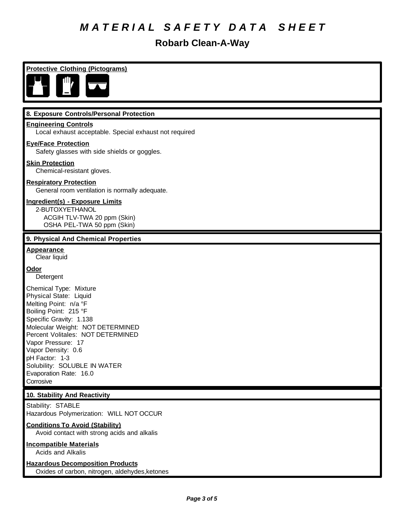## **Robarb Clean-A-Way**

**Protective Clothing (Pictograms)**



#### **8. Exposure Controls/Personal Protection**

#### **Engineering Controls**

Local exhaust acceptable. Special exhaust not required

#### **Eye/Face Protection**

Safety glasses with side shields or goggles.

#### **Skin Protection**

Chemical-resistant gloves.

#### **Respiratory Protection**

General room ventilation is normally adequate.

#### **Ingredient(s) - Exposure Limits**

2-BUTOXYETHANOL ACGIH TLV-TWA 20 ppm (Skin) OSHA PEL-TWA 50 ppm (Skin)

#### **9. Physical And Chemical Properties**

**Appearance** Clear liquid

#### **Odor**

Detergent

Chemical Type: Mixture Physical State: Liquid Melting Point: n/a °F Boiling Point: 215 °F Specific Gravity: 1.138 Molecular Weight: NOT DETERMINED Percent Volitales: NOT DETERMINED Vapor Pressure: 17 Vapor Density: 0.6 pH Factor: 1-3 Solubility: SOLUBLE IN WATER Evaporation Rate: 16.0 Corrosive

#### **10. Stability And Reactivity**

Stability: STABLE Hazardous Polymerization: WILL NOT OCCUR

#### **Conditions To Avoid (Stability)**

Avoid contact with strong acids and alkalis

### **Incompatible Materials**

Acids and Alkalis

### **Hazardous Decomposition Products**

Oxides of carbon, nitrogen, aldehydes,ketones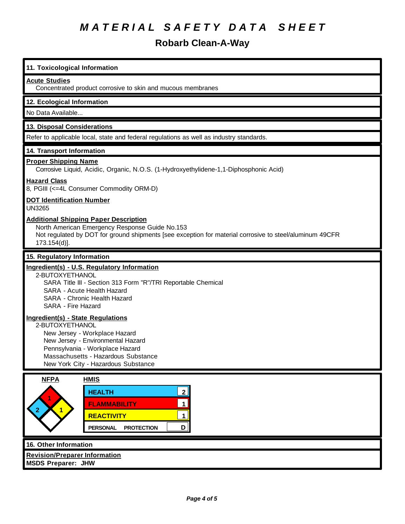## **Robarb Clean-A-Way**

| 11. Toxicological Information                                                                                                                                                                                                               |
|---------------------------------------------------------------------------------------------------------------------------------------------------------------------------------------------------------------------------------------------|
| <b>Acute Studies</b><br>Concentrated product corrosive to skin and mucous membranes                                                                                                                                                         |
| 12. Ecological Information                                                                                                                                                                                                                  |
| No Data Available                                                                                                                                                                                                                           |
| 13. Disposal Considerations                                                                                                                                                                                                                 |
| Refer to applicable local, state and federal regulations as well as industry standards.                                                                                                                                                     |
| 14. Transport Information                                                                                                                                                                                                                   |
| <b>Proper Shipping Name</b><br>Corrosive Liquid, Acidic, Organic, N.O.S. (1-Hydroxyethylidene-1,1-Diphosphonic Acid)                                                                                                                        |
| <b>Hazard Class</b><br>8, PGIII (<=4L Consumer Commodity ORM-D)                                                                                                                                                                             |
| <b>DOT Identification Number</b><br><b>UN3265</b>                                                                                                                                                                                           |
| <b>Additional Shipping Paper Description</b><br>North American Emergency Response Guide No.153<br>Not regulated by DOT for ground shipments [see exception for material corrosive to steel/aluminum 49CFR<br>173.154(d)].                   |
| 15. Regulatory Information                                                                                                                                                                                                                  |
| Ingredient(s) - U.S. Regulatory Information<br>2-BUTOXYETHANOL<br>SARA Title III - Section 313 Form "R"/TRI Reportable Chemical<br><b>SARA - Acute Health Hazard</b><br>SARA - Chronic Health Hazard<br>SARA - Fire Hazard                  |
| Ingredient(s) - State Regulations<br>2-BUTOXYETHANOL<br>New Jersey - Workplace Hazard<br>New Jersey - Environmental Hazard<br>Pennsylvania - Workplace Hazard<br>Massachusetts - Hazardous Substance<br>New York City - Hazardous Substance |
| <b>NFPA</b><br><b>HMIS</b>                                                                                                                                                                                                                  |
| 2 <br><b>HEALTH</b><br>$\mathbf 1$<br><b>FLAMMABILITY</b><br>$\blacksquare$<br><b>REACTIVITY</b><br>$\mathbf 1$<br>D<br><b>PERSONAL</b><br><b>PROTECTION</b>                                                                                |
| 16. Other Information                                                                                                                                                                                                                       |
| <b>Revision/Preparer Information</b><br><b>MSDS Preparer: JHW</b>                                                                                                                                                                           |